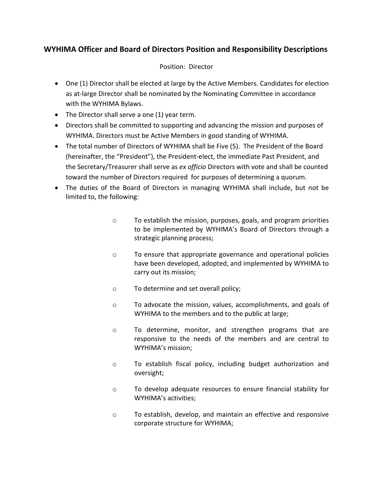# **WYHIMA Officer and Board of Directors Position and Responsibility Descriptions**

#### Position: Director

- One (1) Director shall be elected at large by the Active Members. Candidates for election as at-large Director shall be nominated by the Nominating Committee in accordance with the WYHIMA Bylaws.
- The Director shall serve a one (1) year term.
- Directors shall be committed to supporting and advancing the mission and purposes of WYHIMA. Directors must be Active Members in good standing of WYHIMA.
- The total number of Directors of WYHIMA shall be Five (5). The President of the Board (hereinafter, the "President"), the President-elect, the immediate Past President, and the Secretary/Treasurer shall serve as *ex officio* Directors with vote and shall be counted toward the number of Directors required for purposes of determining a quorum.
- The duties of the Board of Directors in managing WYHIMA shall include, but not be limited to, the following:
	- o To establish the mission, purposes, goals, and program priorities to be implemented by WYHIMA's Board of Directors through a strategic planning process;
	- o To ensure that appropriate governance and operational policies have been developed, adopted, and implemented by WYHIMA to carry out its mission;
	- o To determine and set overall policy;
	- o To advocate the mission, values, accomplishments, and goals of WYHIMA to the members and to the public at large;
	- o To determine, monitor, and strengthen programs that are responsive to the needs of the members and are central to WYHIMA's mission;
	- o To establish fiscal policy, including budget authorization and oversight;
	- o To develop adequate resources to ensure financial stability for WYHIMA's activities;
	- o To establish, develop, and maintain an effective and responsive corporate structure for WYHIMA;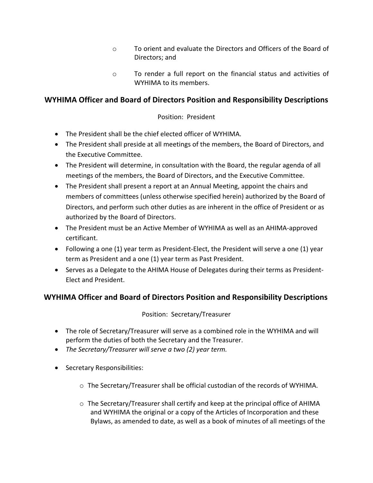- o To orient and evaluate the Directors and Officers of the Board of Directors; and
- o To render a full report on the financial status and activities of WYHIMA to its members.

## **WYHIMA Officer and Board of Directors Position and Responsibility Descriptions**

### Position: President

- The President shall be the chief elected officer of WYHIMA.
- The President shall preside at all meetings of the members, the Board of Directors, and the Executive Committee.
- The President will determine, in consultation with the Board, the regular agenda of all meetings of the members, the Board of Directors, and the Executive Committee.
- The President shall present a report at an Annual Meeting, appoint the chairs and members of committees (unless otherwise specified herein) authorized by the Board of Directors, and perform such other duties as are inherent in the office of President or as authorized by the Board of Directors.
- The President must be an Active Member of WYHIMA as well as an AHIMA-approved certificant.
- Following a one (1) year term as President-Elect, the President will serve a one (1) year term as President and a one (1) year term as Past President.
- Serves as a Delegate to the AHIMA House of Delegates during their terms as President-Elect and President.

## **WYHIMA Officer and Board of Directors Position and Responsibility Descriptions**

#### Position: Secretary/Treasurer

- The role of Secretary/Treasurer will serve as a combined role in the WYHIMA and will perform the duties of both the Secretary and the Treasurer.
- *The Secretary/Treasurer will serve a two (2) year term.*
- Secretary Responsibilities:
	- o The Secretary/Treasurer shall be official custodian of the records of WYHIMA.
	- $\circ$  The Secretary/Treasurer shall certify and keep at the principal office of AHIMA and WYHIMA the original or a copy of the Articles of Incorporation and these Bylaws, as amended to date, as well as a book of minutes of all meetings of the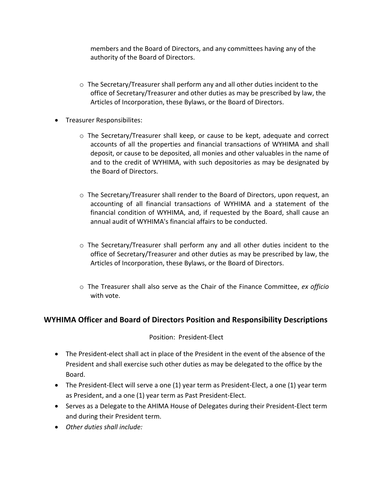members and the Board of Directors, and any committees having any of the authority of the Board of Directors.

- $\circ$  The Secretary/Treasurer shall perform any and all other duties incident to the office of Secretary/Treasurer and other duties as may be prescribed by law, the Articles of Incorporation, these Bylaws, or the Board of Directors.
- Treasurer Responsibilites:
	- $\circ$  The Secretary/Treasurer shall keep, or cause to be kept, adequate and correct accounts of all the properties and financial transactions of WYHIMA and shall deposit, or cause to be deposited, all monies and other valuables in the name of and to the credit of WYHIMA, with such depositories as may be designated by the Board of Directors.
	- $\circ$  The Secretary/Treasurer shall render to the Board of Directors, upon request, an accounting of all financial transactions of WYHIMA and a statement of the financial condition of WYHIMA, and, if requested by the Board, shall cause an annual audit of WYHIMA's financial affairs to be conducted.
	- $\circ$  The Secretary/Treasurer shall perform any and all other duties incident to the office of Secretary/Treasurer and other duties as may be prescribed by law, the Articles of Incorporation, these Bylaws, or the Board of Directors.
	- o The Treasurer shall also serve as the Chair of the Finance Committee, *ex officio*  with vote.

## **WYHIMA Officer and Board of Directors Position and Responsibility Descriptions**

#### Position: President-Elect

- The President-elect shall act in place of the President in the event of the absence of the President and shall exercise such other duties as may be delegated to the office by the Board.
- The President-Elect will serve a one (1) year term as President-Elect, a one (1) year term as President, and a one (1) year term as Past President-Elect.
- Serves as a Delegate to the AHIMA House of Delegates during their President-Elect term and during their President term.
- *Other duties shall include:*